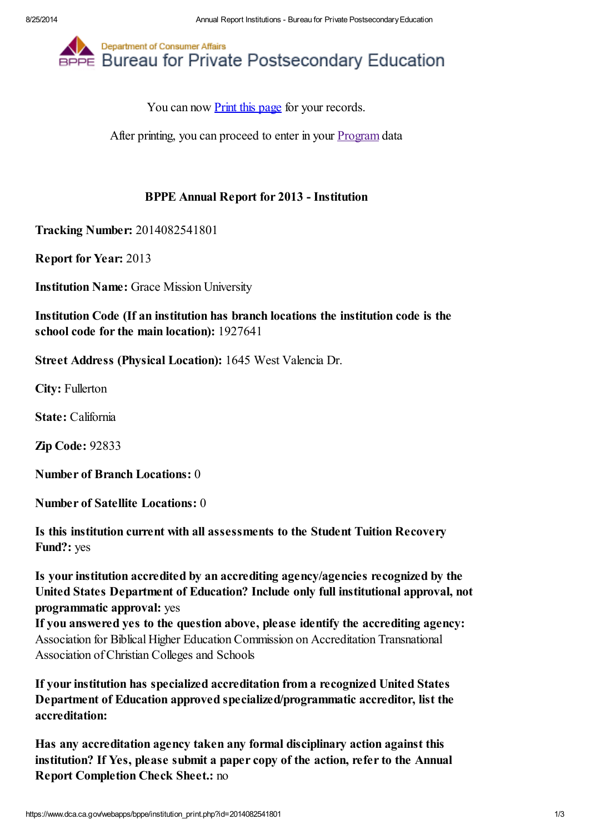

You can now [Print](javascript:window.print();) this page for your records.

After printing, you can proceed to enter in your [Program](https://www.dca.ca.gov/webapps/bppe/report_programs.php) data

## BPPE Annual Report for 2013 - Institution

Tracking Number: 2014082541801

Report for Year: 2013

Institution Name: Grace Mission University

Institution Code (If an institution has branch locations the institution code is the school code for the main location): 1927641

Street Address (Physical Location): 1645 West Valencia Dr.

City: Fullerton

State: California

Zip Code: 92833

Number of Branch Locations: 0

Number of Satellite Locations: 0

Is this institution current with all assessments to the Student Tuition Recovery Fund?: yes

Is your institution accredited by an accrediting agency/agencies recognized by the United States Department of Education? Include only full institutional approval, not programmatic approval: yes

If you answered yes to the question above, please identify the accrediting agency: Association for Biblical Higher Education Commission on Accreditation Transnational Association of Christian Colleges and Schools

If your institution has specialized accreditation from a recognized United States Department of Education approved specialized/programmatic accreditor, list the accreditation:

Has any accreditation agency taken any formal disciplinary action against this institution? If Yes, please submit a paper copy of the action, refer to the Annual Report Completion Check Sheet.: no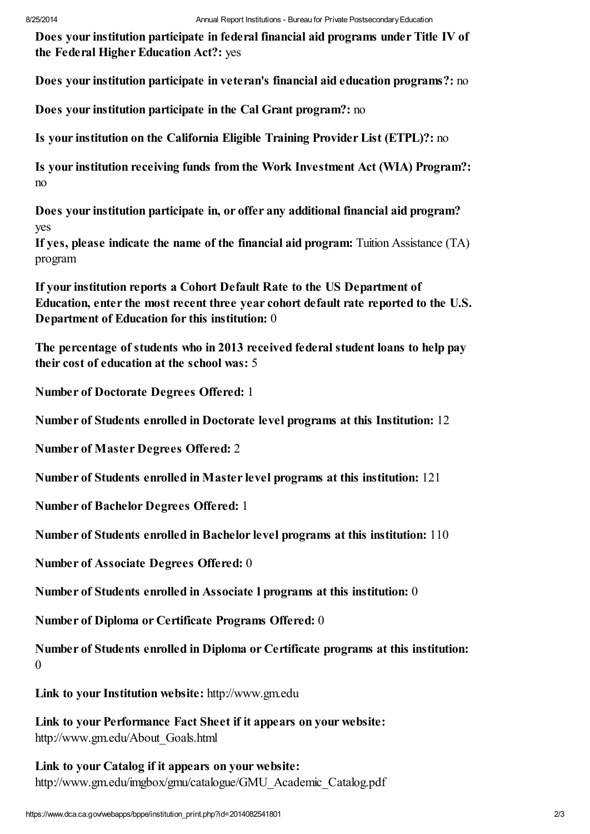Does your institution participate in federal financial aid programs under Title IV of the Federal Higher Education Act?: yes

Does your institution participate in veteran's financial aid education programs?: no

Does your institution participate in the Cal Grant program?: no

Is your institution on the California Eligible Training Provider List (ETPL)?: no

Is your institution receiving funds from the Work Investment Act (WIA) Program?: no

Does your institution participate in, or offer any additional financial aid program? yes

If yes, please indicate the name of the financial aid program: Tuition Assistance (TA) program

If your institution reports a Cohort Default Rate to the US Department of Education, enter the most recent three year cohort default rate reported to the U.S. Department of Education for this institution: 0

The percentage of students who in 2013 received federal student loans to help pay their cost of education at the school was: 5

Number of Doctorate Degrees Offered: 1

Number of Students enrolled in Doctorate level programs at this Institution: 12

Number of Master Degrees Offered: 2

Number of Students enrolled in Master level programs at this institution: 121

Number of Bachelor Degrees Offered: 1

Number of Students enrolled in Bachelor level programs at this institution: 110

Number of Associate Degrees Offered: 0

Number of Students enrolled in Associate l programs at this institution: 0

Number of Diploma or Certificate Programs Offered: 0

Number of Students enrolled in Diploma or Certificate programs at this institution: 0

Link to your Institution website: http://www.gm.edu

Link to your Performance Fact Sheet if it appears on your website: http://www.gm.edu/About\_Goals.html

Link to your Catalog if it appears on your website: http://www.gm.edu/imgbox/gmu/catalogue/GMU\_Academic\_Catalog.pdf